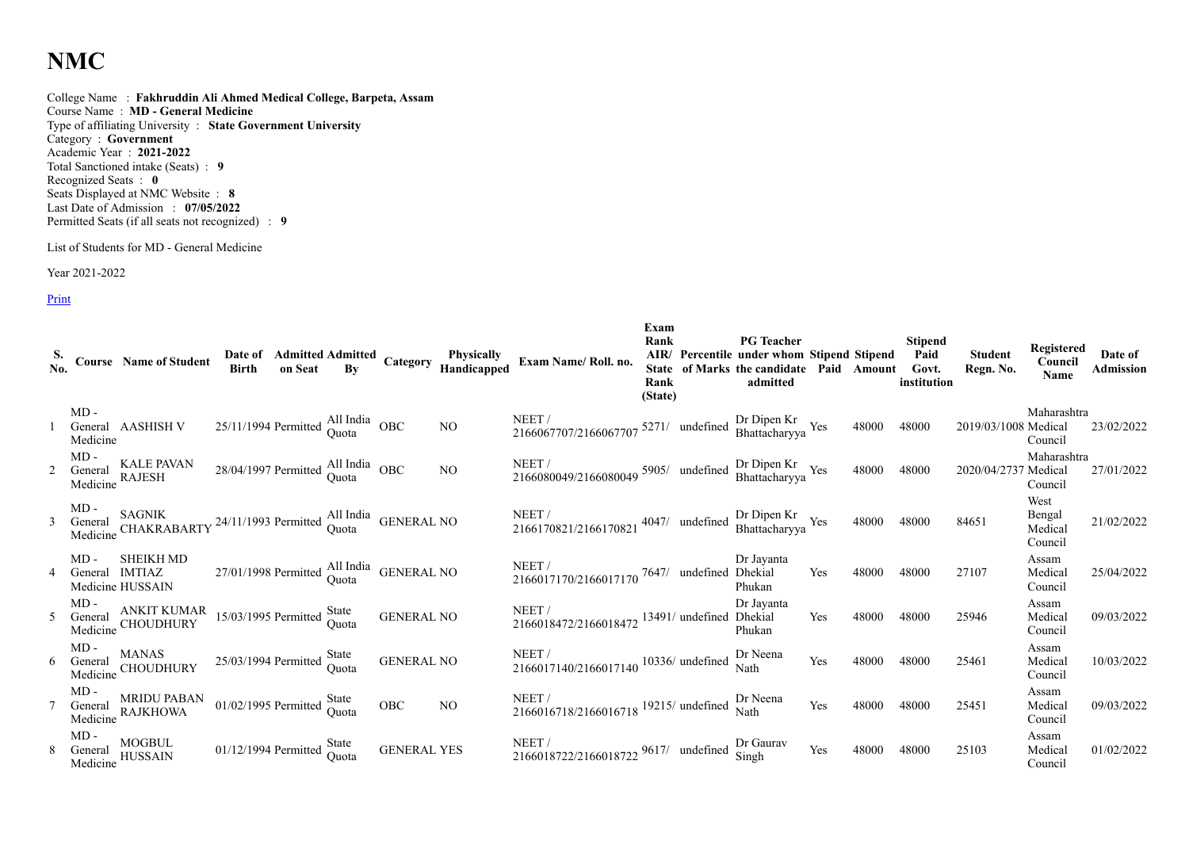## **NMC**

College Name : **Fakhruddin Ali Ahmed Medical College, Barpeta, Assam** Course Name : **MD - General Medicine** Type of affiliating University : **State Government University** Category : **Government** Academic Year : **2021-2022** Total Sanctioned intake (Seats) : **9** Recognized Seats : **0** Seats Displayed at NMC Website : **8** Last Date of Admission : **07/05/2022** Permitted Seats (if all seats not recognized) : **9**

List of Students for MD - General Medicine

Year 2021-2022

Print

|                |                               | $\frac{S}{N_0}$ . Course Name of Student                                                                      |                                                                    |  |                                           |                 | Date of Admitted Admitted Category Physically<br>Birth on Seat By Category Handicapped Exam Name/Roll. no. | Exam<br>Rank<br>Rank<br>(State) | <b>PG</b> Teacher<br>AIR/ Percentile under whom Stipend Stipend<br>State of Marks the candidate Paid Amount Govt.<br>admitted |     |       | Stipend<br>Paid<br>institution | <b>Student</b><br>Regn. No. | Registered<br>Council<br><b>Name</b> | Date of<br><b>Admission</b> |
|----------------|-------------------------------|---------------------------------------------------------------------------------------------------------------|--------------------------------------------------------------------|--|-------------------------------------------|-----------------|------------------------------------------------------------------------------------------------------------|---------------------------------|-------------------------------------------------------------------------------------------------------------------------------|-----|-------|--------------------------------|-----------------------------|--------------------------------------|-----------------------------|
|                | $MD -$<br>Medicine            | General AASHISH V                                                                                             | $25/11/1994$ Permitted $\frac{\text{All India}}{\text{Quota}}$ OBC |  |                                           | NO              | NEET /<br>2166067707/2166067707 5271/ undefined Dr Dipen Kr<br>Bhattacharyya Yes                           |                                 |                                                                                                                               |     | 48000 | 48000                          | 2019/03/1008 Medical        | Maharashtra<br>Council               | 23/02/2022                  |
| $\overline{2}$ | $MD -$<br>General<br>Medicine | <b>KALE PAVAN</b><br><b>RAJESH</b>                                                                            | $28/04/1997$ Permitted $\frac{\text{All India}}{\text{Quota}}$ OBC |  |                                           | <b>NO</b>       | NEET / 2166080049/2166080049 5905/ undefined Dr Dipen Kr 2166080049/2166080049 5905/                       |                                 |                                                                                                                               |     | 48000 | 48000                          | 2020/04/2737 Medical        | Maharashtra<br>Council               | 27/01/2022                  |
|                |                               | MD -<br>General CHAKRABARTY 24/11/1993 Permitted All India<br>Medicine CHAKRABARTY 24/11/1993 Permitted Quota |                                                                    |  |                                           |                 | NEET /<br>2166170821/2166170821 4047/ undefined Dr Dipen Kr<br>Bhattacharyya Yes                           |                                 |                                                                                                                               |     | 48000 | 48000                          | 84651                       | West<br>Bengal<br>Medical<br>Council | 21/02/2022                  |
| 4              | $MD -$<br>General IMTIAZ      | SHEIKH MD<br>Medicine HUSSAIN                                                                                 |                                                                    |  | 27/01/1998 Permitted All India GENERAL NO |                 | NEET/<br>NEET /<br>2166017170/2166017170 7647/ undefined Dhekial                                           |                                 | Dr Jayanta<br>Phukan                                                                                                          | Yes | 48000 | 48000                          | 27107                       | Assam<br>Medical<br>Council          | 25/04/2022                  |
|                |                               | NID - ANKIT KUMAR<br>General CHOUDHURY 15/03/1995 Permitted State<br>Medicine CHOUDHURY                       |                                                                    |  | <b>GENERAL NO</b>                         |                 | NEET /<br>2166018472/2166018472 13491/ undefined Dhekial                                                   |                                 | Dr Jayanta<br>Phukan                                                                                                          | Yes | 48000 | 48000                          | 25946                       | Assam<br>Medical<br>Council          | 09/03/2022                  |
|                | MD -                          | <b>MANAS</b><br>General MANAS<br>Medicine CHOUDHURY                                                           | $25/03/1994$ Permitted $\frac{\text{State}}{\text{Quota}}$         |  | <b>GENERAL NO</b>                         |                 | NEET /<br>2166017140/2166017140 10336/ undefined                                                           |                                 | Dr Neena<br>Nath                                                                                                              | Yes | 48000 | 48000                          | 25461                       | Assam<br>Medical<br>Council          | 10/03/2022                  |
|                | $MD -$<br>General<br>Medicine | MRIDU PABAN<br>RAJKHOWA                                                                                       | $01/02/1995$ Permitted $\frac{\text{State}}{\text{Quota}}$         |  | <b>OBC</b>                                | NO <sub>1</sub> | NEET /<br>2166016718/2166016718 <sup>19215</sup> / undefined                                               |                                 | Dr Neena<br>Nath                                                                                                              | Yes | 48000 | 48000                          | 25451                       | Assam<br>Medical<br>Council          | 09/03/2022                  |
|                | $MD -$<br>General<br>Medicine | MOGBUL<br>HUSSAIN                                                                                             | $01/12/1994$ Permitted State Quota                                 |  | <b>GENERAL YES</b>                        |                 | NEET /<br>2166018722/2166018722 9617/ undefined Singh                                                      |                                 |                                                                                                                               | Yes | 48000 | 48000                          | 25103                       | Assam<br>Medical<br>Council          | 01/02/2022                  |